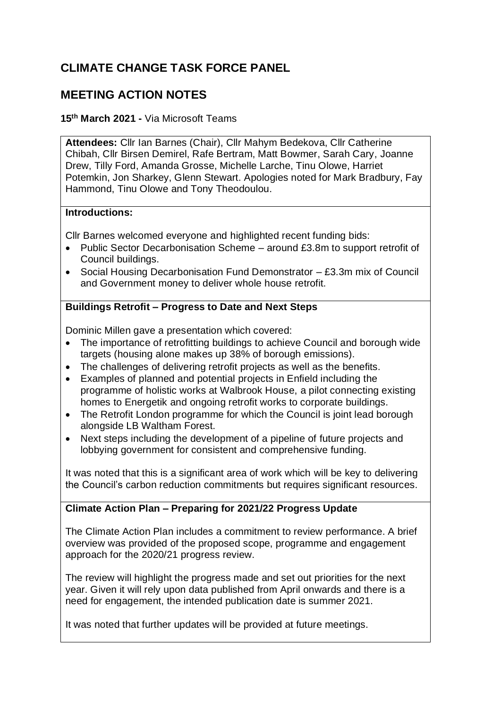# **CLIMATE CHANGE TASK FORCE PANEL**

## **MEETING ACTION NOTES**

**15th March 2021 -** Via Microsoft Teams

**Attendees:** Cllr Ian Barnes (Chair), Cllr Mahym Bedekova, Cllr Catherine Chibah, Cllr Birsen Demirel, Rafe Bertram, Matt Bowmer, Sarah Cary, Joanne Drew, Tilly Ford, Amanda Grosse, Michelle Larche, Tinu Olowe, Harriet Potemkin, Jon Sharkey, Glenn Stewart. Apologies noted for Mark Bradbury, Fay Hammond, Tinu Olowe and Tony Theodoulou.

#### **Introductions:**

Cllr Barnes welcomed everyone and highlighted recent funding bids:

- Public Sector Decarbonisation Scheme around £3.8m to support retrofit of Council buildings.
- Social Housing Decarbonisation Fund Demonstrator £3.3m mix of Council and Government money to deliver whole house retrofit.

## **Buildings Retrofit – Progress to Date and Next Steps**

Dominic Millen gave a presentation which covered:

- The importance of retrofitting buildings to achieve Council and borough wide targets (housing alone makes up 38% of borough emissions).
- The challenges of delivering retrofit projects as well as the benefits.
- Examples of planned and potential projects in Enfield including the programme of holistic works at Walbrook House, a pilot connecting existing homes to Energetik and ongoing retrofit works to corporate buildings.
- The Retrofit London programme for which the Council is joint lead borough alongside LB Waltham Forest.
- Next steps including the development of a pipeline of future projects and lobbying government for consistent and comprehensive funding.

It was noted that this is a significant area of work which will be key to delivering the Council's carbon reduction commitments but requires significant resources.

## **Climate Action Plan – Preparing for 2021/22 Progress Update**

The Climate Action Plan includes a commitment to review performance. A brief overview was provided of the proposed scope, programme and engagement approach for the 2020/21 progress review.

The review will highlight the progress made and set out priorities for the next year. Given it will rely upon data published from April onwards and there is a need for engagement, the intended publication date is summer 2021.

It was noted that further updates will be provided at future meetings.